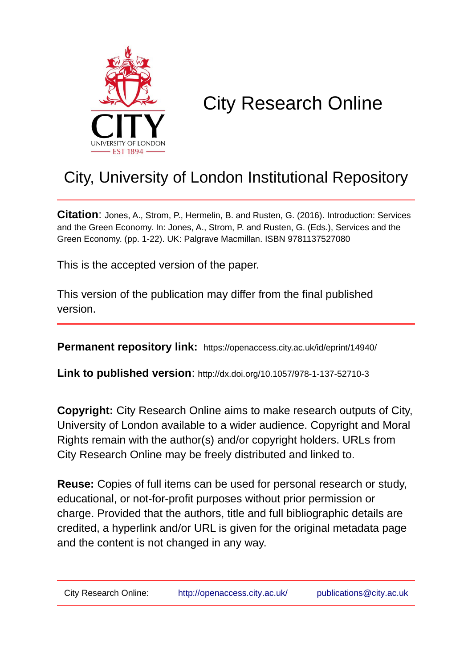

# City Research Online

## City, University of London Institutional Repository

**Citation**: Jones, A., Strom, P., Hermelin, B. and Rusten, G. (2016). Introduction: Services and the Green Economy. In: Jones, A., Strom, P. and Rusten, G. (Eds.), Services and the Green Economy. (pp. 1-22). UK: Palgrave Macmillan. ISBN 9781137527080

This is the accepted version of the paper.

This version of the publication may differ from the final published version.

**Permanent repository link:** https://openaccess.city.ac.uk/id/eprint/14940/

**Link to published version**: http://dx.doi.org/10.1057/978-1-137-52710-3

**Copyright:** City Research Online aims to make research outputs of City, University of London available to a wider audience. Copyright and Moral Rights remain with the author(s) and/or copyright holders. URLs from City Research Online may be freely distributed and linked to.

**Reuse:** Copies of full items can be used for personal research or study, educational, or not-for-profit purposes without prior permission or charge. Provided that the authors, title and full bibliographic details are credited, a hyperlink and/or URL is given for the original metadata page and the content is not changed in any way.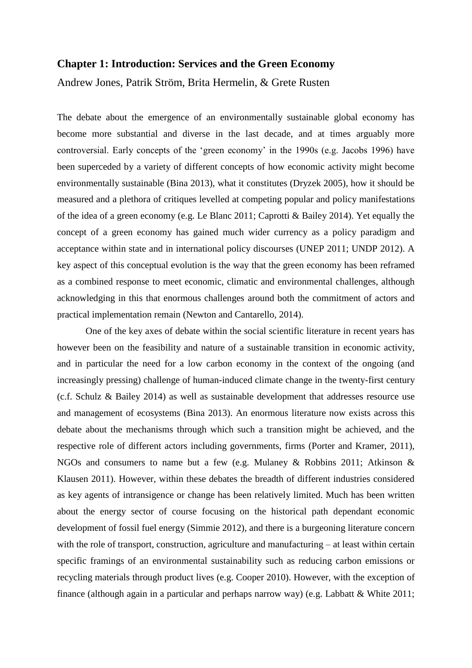#### **Chapter 1: Introduction: Services and the Green Economy**

Andrew Jones, Patrik Ström, Brita Hermelin, & Grete Rusten

The debate about the emergence of an environmentally sustainable global economy has become more substantial and diverse in the last decade, and at times arguably more controversial. Early concepts of the 'green economy' in the 1990s (e.g. Jacobs 1996) have been superceded by a variety of different concepts of how economic activity might become environmentally sustainable (Bina 2013), what it constitutes (Dryzek 2005), how it should be measured and a plethora of critiques levelled at competing popular and policy manifestations of the idea of a green economy (e.g. Le Blanc 2011; Caprotti & Bailey 2014). Yet equally the concept of a green economy has gained much wider currency as a policy paradigm and acceptance within state and in international policy discourses (UNEP 2011; UNDP 2012). A key aspect of this conceptual evolution is the way that the green economy has been reframed as a combined response to meet economic, climatic and environmental challenges, although acknowledging in this that enormous challenges around both the commitment of actors and practical implementation remain (Newton and Cantarello, 2014).

One of the key axes of debate within the social scientific literature in recent years has however been on the feasibility and nature of a sustainable transition in economic activity, and in particular the need for a low carbon economy in the context of the ongoing (and increasingly pressing) challenge of human-induced climate change in the twenty-first century (c.f. Schulz & Bailey 2014) as well as sustainable development that addresses resource use and management of ecosystems (Bina 2013). An enormous literature now exists across this debate about the mechanisms through which such a transition might be achieved, and the respective role of different actors including governments, firms (Porter and Kramer, 2011), NGOs and consumers to name but a few (e.g. Mulaney & Robbins 2011; Atkinson & Klausen 2011). However, within these debates the breadth of different industries considered as key agents of intransigence or change has been relatively limited. Much has been written about the energy sector of course focusing on the historical path dependant economic development of fossil fuel energy (Simmie 2012), and there is a burgeoning literature concern with the role of transport, construction, agriculture and manufacturing – at least within certain specific framings of an environmental sustainability such as reducing carbon emissions or recycling materials through product lives (e.g. Cooper 2010). However, with the exception of finance (although again in a particular and perhaps narrow way) (e.g. Labbatt & White 2011;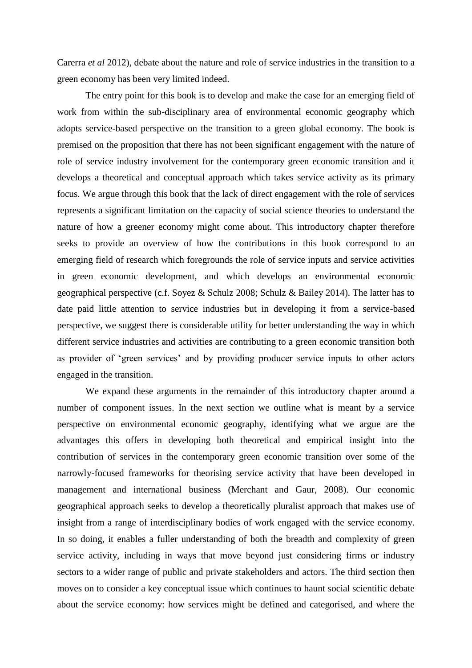Carerra *et al* 2012), debate about the nature and role of service industries in the transition to a green economy has been very limited indeed.

The entry point for this book is to develop and make the case for an emerging field of work from within the sub-disciplinary area of environmental economic geography which adopts service-based perspective on the transition to a green global economy. The book is premised on the proposition that there has not been significant engagement with the nature of role of service industry involvement for the contemporary green economic transition and it develops a theoretical and conceptual approach which takes service activity as its primary focus. We argue through this book that the lack of direct engagement with the role of services represents a significant limitation on the capacity of social science theories to understand the nature of how a greener economy might come about. This introductory chapter therefore seeks to provide an overview of how the contributions in this book correspond to an emerging field of research which foregrounds the role of service inputs and service activities in green economic development, and which develops an environmental economic geographical perspective (c.f. Soyez & Schulz 2008; Schulz & Bailey 2014). The latter has to date paid little attention to service industries but in developing it from a service-based perspective, we suggest there is considerable utility for better understanding the way in which different service industries and activities are contributing to a green economic transition both as provider of 'green services' and by providing producer service inputs to other actors engaged in the transition.

We expand these arguments in the remainder of this introductory chapter around a number of component issues. In the next section we outline what is meant by a service perspective on environmental economic geography, identifying what we argue are the advantages this offers in developing both theoretical and empirical insight into the contribution of services in the contemporary green economic transition over some of the narrowly-focused frameworks for theorising service activity that have been developed in management and international business (Merchant and Gaur, 2008). Our economic geographical approach seeks to develop a theoretically pluralist approach that makes use of insight from a range of interdisciplinary bodies of work engaged with the service economy. In so doing, it enables a fuller understanding of both the breadth and complexity of green service activity, including in ways that move beyond just considering firms or industry sectors to a wider range of public and private stakeholders and actors. The third section then moves on to consider a key conceptual issue which continues to haunt social scientific debate about the service economy: how services might be defined and categorised, and where the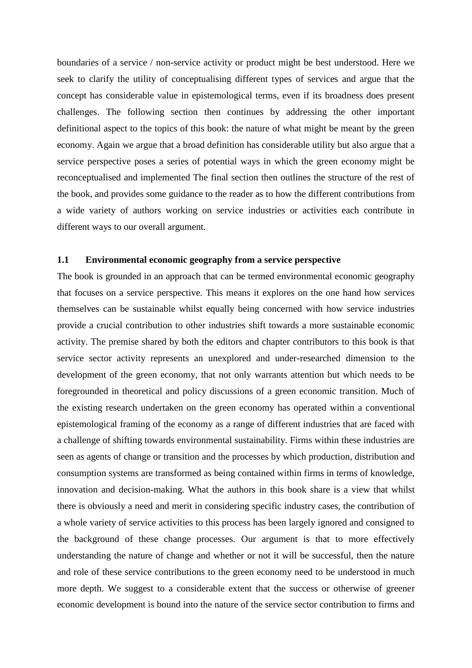boundaries of a service / non-service activity or product might be best understood. Here we seek to clarify the utility of conceptualising different types of services and argue that the concept has considerable value in epistemological terms, even if its broadness does present challenges. The following section then continues by addressing the other important definitional aspect to the topics of this book: the nature of what might be meant by the green economy. Again we argue that a broad definition has considerable utility but also argue that a service perspective poses a series of potential ways in which the green economy might be reconceptualised and implemented The final section then outlines the structure of the rest of the book, and provides some guidance to the reader as to how the different contributions from a wide variety of authors working on service industries or activities each contribute in different ways to our overall argument.

### **1.1 Environmental economic geography from a service perspective**

The book is grounded in an approach that can be termed environmental economic geography that focuses on a service perspective. This means it explores on the one hand how services themselves can be sustainable whilst equally being concerned with how service industries provide a crucial contribution to other industries shift towards a more sustainable economic activity. The premise shared by both the editors and chapter contributors to this book is that service sector activity represents an unexplored and under-researched dimension to the development of the green economy, that not only warrants attention but which needs to be foregrounded in theoretical and policy discussions of a green economic transition. Much of the existing research undertaken on the green economy has operated within a conventional epistemological framing of the economy as a range of different industries that are faced with a challenge of shifting towards environmental sustainability. Firms within these industries are seen as agents of change or transition and the processes by which production, distribution and consumption systems are transformed as being contained within firms in terms of knowledge, innovation and decision-making. What the authors in this book share is a view that whilst there is obviously a need and merit in considering specific industry cases, the contribution of a whole variety of service activities to this process has been largely ignored and consigned to the background of these change processes. Our argument is that to more effectively understanding the nature of change and whether or not it will be successful, then the nature and role of these service contributions to the green economy need to be understood in much more depth. We suggest to a considerable extent that the success or otherwise of greener economic development is bound into the nature of the service sector contribution to firms and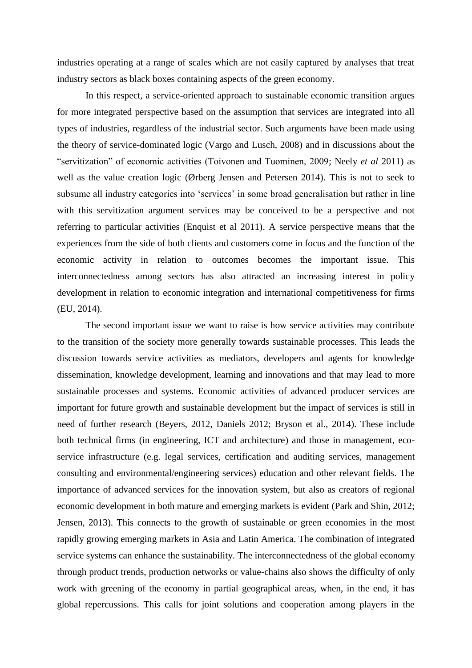industries operating at a range of scales which are not easily captured by analyses that treat industry sectors as black boxes containing aspects of the green economy.

In this respect, a service-oriented approach to sustainable economic transition argues for more integrated perspective based on the assumption that services are integrated into all types of industries, regardless of the industrial sector. Such arguments have been made using the theory of service-dominated logic (Vargo and Lusch, 2008) and in discussions about the "servitization" of economic activities (Toivonen and Tuominen, 2009; Neely *et al* 2011) as well as the value creation logic (Ørberg Jensen and Petersen 2014). This is not to seek to subsume all industry categories into 'services' in some broad generalisation but rather in line with this servitization argument services may be conceived to be a perspective and not referring to particular activities (Enquist et al 2011). A service perspective means that the experiences from the side of both clients and customers come in focus and the function of the economic activity in relation to outcomes becomes the important issue. This interconnectedness among sectors has also attracted an increasing interest in policy development in relation to economic integration and international competitiveness for firms (EU, 2014).

The second important issue we want to raise is how service activities may contribute to the transition of the society more generally towards sustainable processes. This leads the discussion towards service activities as mediators, developers and agents for knowledge dissemination, knowledge development, learning and innovations and that may lead to more sustainable processes and systems. Economic activities of advanced producer services are important for future growth and sustainable development but the impact of services is still in need of further research (Beyers, 2012, Daniels 2012; Bryson et al., 2014). These include both technical firms (in engineering, ICT and architecture) and those in management, ecoservice infrastructure (e.g. legal services, certification and auditing services, management consulting and environmental/engineering services) education and other relevant fields. The importance of advanced services for the innovation system, but also as creators of regional economic development in both mature and emerging markets is evident (Park and Shin, 2012; Jensen, 2013). This connects to the growth of sustainable or green economies in the most rapidly growing emerging markets in Asia and Latin America. The combination of integrated service systems can enhance the sustainability. The interconnectedness of the global economy through product trends, production networks or value-chains also shows the difficulty of only work with greening of the economy in partial geographical areas, when, in the end, it has global repercussions. This calls for joint solutions and cooperation among players in the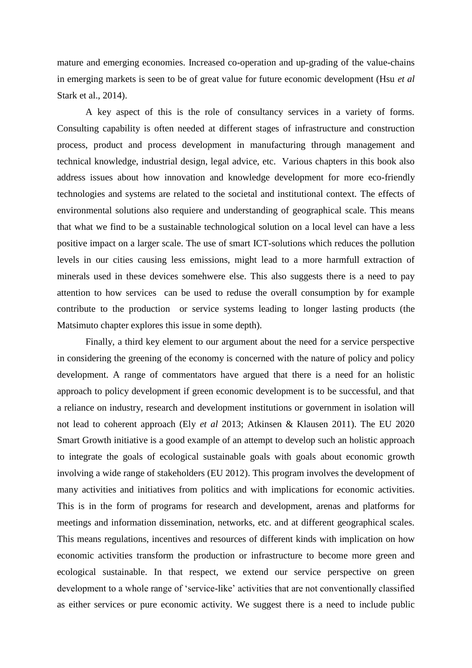mature and emerging economies. Increased co-operation and up-grading of the value-chains in emerging markets is seen to be of great value for future economic development (Hsu *et al*  Stark et al., 2014).

A key aspect of this is the role of consultancy services in a variety of forms. Consulting capability is often needed at different stages of infrastructure and construction process, product and process development in manufacturing through management and technical knowledge, industrial design, legal advice, etc. Various chapters in this book also address issues about how innovation and knowledge development for more eco-friendly technologies and systems are related to the societal and institutional context. The effects of environmental solutions also requiere and understanding of geographical scale. This means that what we find to be a sustainable technological solution on a local level can have a less positive impact on a larger scale. The use of smart ICT-solutions which reduces the pollution levels in our cities causing less emissions, might lead to a more harmfull extraction of minerals used in these devices somehwere else. This also suggests there is a need to pay attention to how services can be used to reduse the overall consumption by for example contribute to the production or service systems leading to longer lasting products (the Matsimuto chapter explores this issue in some depth).

Finally, a third key element to our argument about the need for a service perspective in considering the greening of the economy is concerned with the nature of policy and policy development. A range of commentators have argued that there is a need for an holistic approach to policy development if green economic development is to be successful, and that a reliance on industry, research and development institutions or government in isolation will not lead to coherent approach (Ely *et al* 2013; Atkinsen & Klausen 2011). The EU 2020 Smart Growth initiative is a good example of an attempt to develop such an holistic approach to integrate the goals of ecological sustainable goals with goals about economic growth involving a wide range of stakeholders (EU 2012). This program involves the development of many activities and initiatives from politics and with implications for economic activities. This is in the form of programs for research and development, arenas and platforms for meetings and information dissemination, networks, etc. and at different geographical scales. This means regulations, incentives and resources of different kinds with implication on how economic activities transform the production or infrastructure to become more green and ecological sustainable. In that respect, we extend our service perspective on green development to a whole range of 'service-like' activities that are not conventionally classified as either services or pure economic activity. We suggest there is a need to include public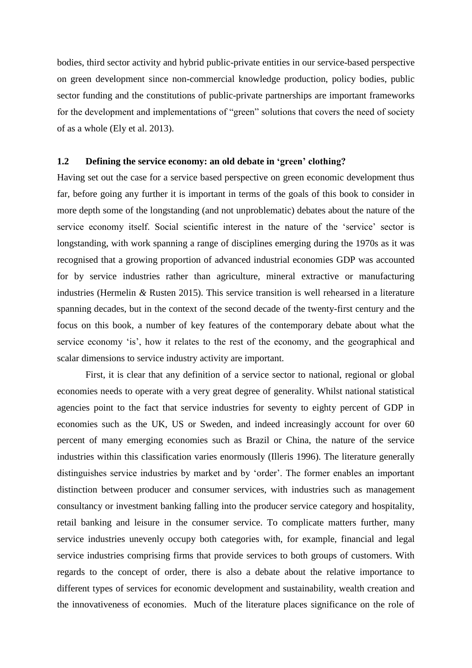bodies, third sector activity and hybrid public-private entities in our service-based perspective on green development since non-commercial knowledge production, policy bodies, public sector funding and the constitutions of public-private partnerships are important frameworks for the development and implementations of "green" solutions that covers the need of society of as a whole (Ely et al. 2013).

#### **1.2 Defining the service economy: an old debate in 'green' clothing?**

Having set out the case for a service based perspective on green economic development thus far, before going any further it is important in terms of the goals of this book to consider in more depth some of the longstanding (and not unproblematic) debates about the nature of the service economy itself. Social scientific interest in the nature of the 'service' sector is longstanding, with work spanning a range of disciplines emerging during the 1970s as it was recognised that a growing proportion of advanced industrial economies GDP was accounted for by service industries rather than agriculture, mineral extractive or manufacturing industries (Hermelin *&* Rusten 2015). This service transition is well rehearsed in a literature spanning decades, but in the context of the second decade of the twenty-first century and the focus on this book, a number of key features of the contemporary debate about what the service economy 'is', how it relates to the rest of the economy, and the geographical and scalar dimensions to service industry activity are important.

First, it is clear that any definition of a service sector to national, regional or global economies needs to operate with a very great degree of generality. Whilst national statistical agencies point to the fact that service industries for seventy to eighty percent of GDP in economies such as the UK, US or Sweden, and indeed increasingly account for over 60 percent of many emerging economies such as Brazil or China, the nature of the service industries within this classification varies enormously (Illeris 1996). The literature generally distinguishes service industries by market and by 'order'. The former enables an important distinction between producer and consumer services, with industries such as management consultancy or investment banking falling into the producer service category and hospitality, retail banking and leisure in the consumer service. To complicate matters further, many service industries unevenly occupy both categories with, for example, financial and legal service industries comprising firms that provide services to both groups of customers. With regards to the concept of order, there is also a debate about the relative importance to different types of services for economic development and sustainability, wealth creation and the innovativeness of economies. Much of the literature places significance on the role of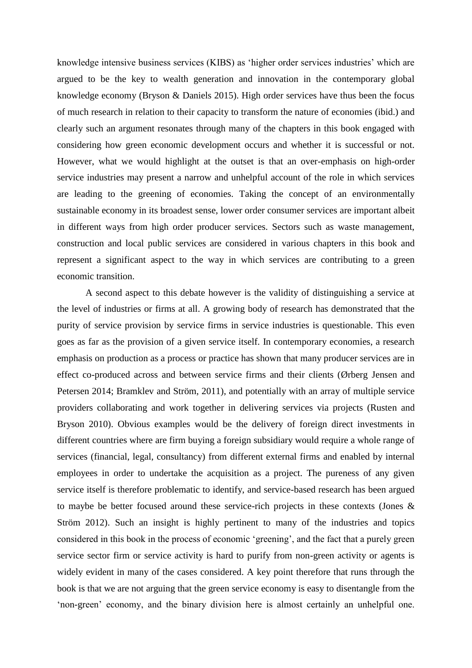knowledge intensive business services (KIBS) as 'higher order services industries' which are argued to be the key to wealth generation and innovation in the contemporary global knowledge economy (Bryson & Daniels 2015). High order services have thus been the focus of much research in relation to their capacity to transform the nature of economies (ibid.) and clearly such an argument resonates through many of the chapters in this book engaged with considering how green economic development occurs and whether it is successful or not. However, what we would highlight at the outset is that an over-emphasis on high-order service industries may present a narrow and unhelpful account of the role in which services are leading to the greening of economies. Taking the concept of an environmentally sustainable economy in its broadest sense, lower order consumer services are important albeit in different ways from high order producer services. Sectors such as waste management, construction and local public services are considered in various chapters in this book and represent a significant aspect to the way in which services are contributing to a green economic transition.

A second aspect to this debate however is the validity of distinguishing a service at the level of industries or firms at all. A growing body of research has demonstrated that the purity of service provision by service firms in service industries is questionable. This even goes as far as the provision of a given service itself. In contemporary economies, a research emphasis on production as a process or practice has shown that many producer services are in effect co-produced across and between service firms and their clients (Ørberg Jensen and Petersen 2014; Bramklev and Ström, 2011), and potentially with an array of multiple service providers collaborating and work together in delivering services via projects (Rusten and Bryson 2010). Obvious examples would be the delivery of foreign direct investments in different countries where are firm buying a foreign subsidiary would require a whole range of services (financial, legal, consultancy) from different external firms and enabled by internal employees in order to undertake the acquisition as a project. The pureness of any given service itself is therefore problematic to identify, and service-based research has been argued to maybe be better focused around these service-rich projects in these contexts (Jones & Ström 2012). Such an insight is highly pertinent to many of the industries and topics considered in this book in the process of economic 'greening', and the fact that a purely green service sector firm or service activity is hard to purify from non-green activity or agents is widely evident in many of the cases considered. A key point therefore that runs through the book is that we are not arguing that the green service economy is easy to disentangle from the 'non-green' economy, and the binary division here is almost certainly an unhelpful one.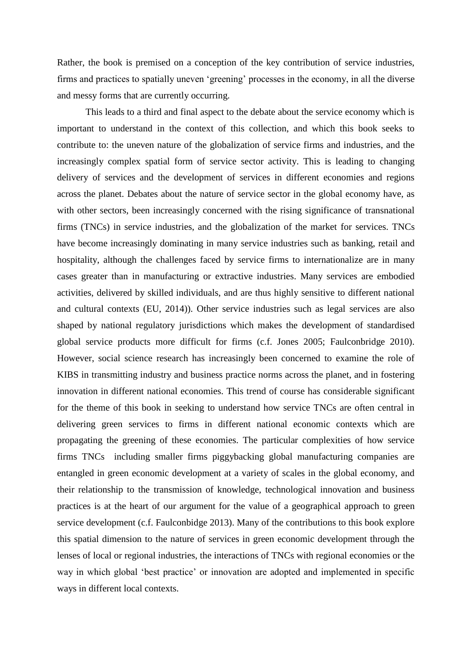Rather, the book is premised on a conception of the key contribution of service industries, firms and practices to spatially uneven 'greening' processes in the economy, in all the diverse and messy forms that are currently occurring.

This leads to a third and final aspect to the debate about the service economy which is important to understand in the context of this collection, and which this book seeks to contribute to: the uneven nature of the globalization of service firms and industries, and the increasingly complex spatial form of service sector activity. This is leading to changing delivery of services and the development of services in different economies and regions across the planet. Debates about the nature of service sector in the global economy have, as with other sectors, been increasingly concerned with the rising significance of transnational firms (TNCs) in service industries, and the globalization of the market for services. TNCs have become increasingly dominating in many service industries such as banking, retail and hospitality, although the challenges faced by service firms to internationalize are in many cases greater than in manufacturing or extractive industries. Many services are embodied activities, delivered by skilled individuals, and are thus highly sensitive to different national and cultural contexts (EU, 2014)). Other service industries such as legal services are also shaped by national regulatory jurisdictions which makes the development of standardised global service products more difficult for firms (c.f. Jones 2005; Faulconbridge 2010). However, social science research has increasingly been concerned to examine the role of KIBS in transmitting industry and business practice norms across the planet, and in fostering innovation in different national economies. This trend of course has considerable significant for the theme of this book in seeking to understand how service TNCs are often central in delivering green services to firms in different national economic contexts which are propagating the greening of these economies. The particular complexities of how service firms TNCs including smaller firms piggybacking global manufacturing companies are entangled in green economic development at a variety of scales in the global economy, and their relationship to the transmission of knowledge, technological innovation and business practices is at the heart of our argument for the value of a geographical approach to green service development (c.f. Faulconbidge 2013). Many of the contributions to this book explore this spatial dimension to the nature of services in green economic development through the lenses of local or regional industries, the interactions of TNCs with regional economies or the way in which global 'best practice' or innovation are adopted and implemented in specific ways in different local contexts.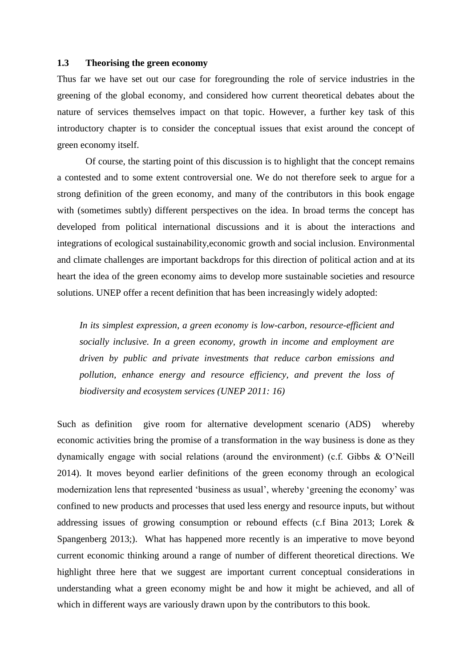#### **1.3 Theorising the green economy**

Thus far we have set out our case for foregrounding the role of service industries in the greening of the global economy, and considered how current theoretical debates about the nature of services themselves impact on that topic. However, a further key task of this introductory chapter is to consider the conceptual issues that exist around the concept of green economy itself.

Of course, the starting point of this discussion is to highlight that the concept remains a contested and to some extent controversial one. We do not therefore seek to argue for a strong definition of the green economy, and many of the contributors in this book engage with (sometimes subtly) different perspectives on the idea. In broad terms the concept has developed from political international discussions and it is about the interactions and integrations of ecological sustainability,economic growth and social inclusion. Environmental and climate challenges are important backdrops for this direction of political action and at its heart the idea of the green economy aims to develop more sustainable societies and resource solutions. UNEP offer a recent definition that has been increasingly widely adopted:

*In its simplest expression, a green economy is low-carbon, resource-efficient and socially inclusive. In a green economy, growth in income and employment are driven by public and private investments that reduce carbon emissions and pollution, enhance energy and resource efficiency, and prevent the loss of biodiversity and ecosystem services (UNEP 2011: 16)*

Such as definition give room for alternative development scenario (ADS) whereby economic activities bring the promise of a transformation in the way business is done as they dynamically engage with social relations (around the environment) (c.f. Gibbs & O'Neill 2014). It moves beyond earlier definitions of the green economy through an ecological modernization lens that represented 'business as usual', whereby 'greening the economy' was confined to new products and processes that used less energy and resource inputs, but without addressing issues of growing consumption or rebound effects (c.f Bina 2013; Lorek & Spangenberg 2013;). What has happened more recently is an imperative to move beyond current economic thinking around a range of number of different theoretical directions. We highlight three here that we suggest are important current conceptual considerations in understanding what a green economy might be and how it might be achieved, and all of which in different ways are variously drawn upon by the contributors to this book.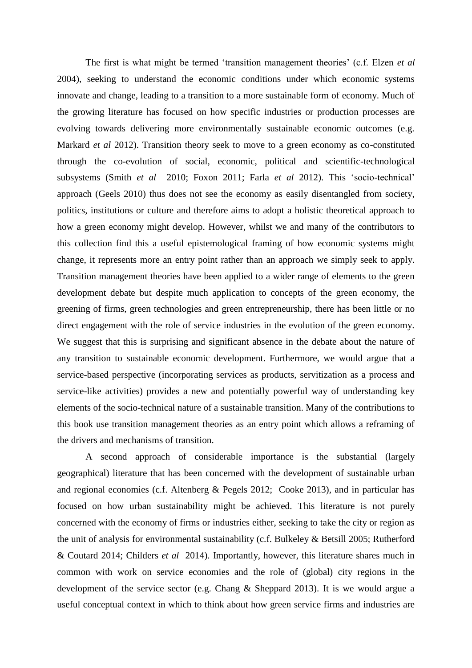The first is what might be termed 'transition management theories' (c.f. Elzen *et al* 2004), seeking to understand the economic conditions under which economic systems innovate and change, leading to a transition to a more sustainable form of economy. Much of the growing literature has focused on how specific industries or production processes are evolving towards delivering more environmentally sustainable economic outcomes (e.g. Markard *et al* 2012). Transition theory seek to move to a green economy as co-constituted through the co-evolution of social, economic, political and scientific-technological subsystems (Smith *et al* 2010; Foxon 2011; Farla *et al* 2012). This 'socio-technical' approach (Geels 2010) thus does not see the economy as easily disentangled from society, politics, institutions or culture and therefore aims to adopt a holistic theoretical approach to how a green economy might develop. However, whilst we and many of the contributors to this collection find this a useful epistemological framing of how economic systems might change, it represents more an entry point rather than an approach we simply seek to apply. Transition management theories have been applied to a wider range of elements to the green development debate but despite much application to concepts of the green economy, the greening of firms, green technologies and green entrepreneurship, there has been little or no direct engagement with the role of service industries in the evolution of the green economy. We suggest that this is surprising and significant absence in the debate about the nature of any transition to sustainable economic development. Furthermore, we would argue that a service-based perspective (incorporating services as products, servitization as a process and service-like activities) provides a new and potentially powerful way of understanding key elements of the socio-technical nature of a sustainable transition. Many of the contributions to this book use transition management theories as an entry point which allows a reframing of the drivers and mechanisms of transition.

A second approach of considerable importance is the substantial (largely geographical) literature that has been concerned with the development of sustainable urban and regional economies (c.f. Altenberg & Pegels 2012; Cooke 2013), and in particular has focused on how urban sustainability might be achieved. This literature is not purely concerned with the economy of firms or industries either, seeking to take the city or region as the unit of analysis for environmental sustainability (c.f. Bulkeley & Betsill 2005; Rutherford & Coutard 2014; Childers *et al* 2014). Importantly, however, this literature shares much in common with work on service economies and the role of (global) city regions in the development of the service sector (e.g. Chang & Sheppard 2013). It is we would argue a useful conceptual context in which to think about how green service firms and industries are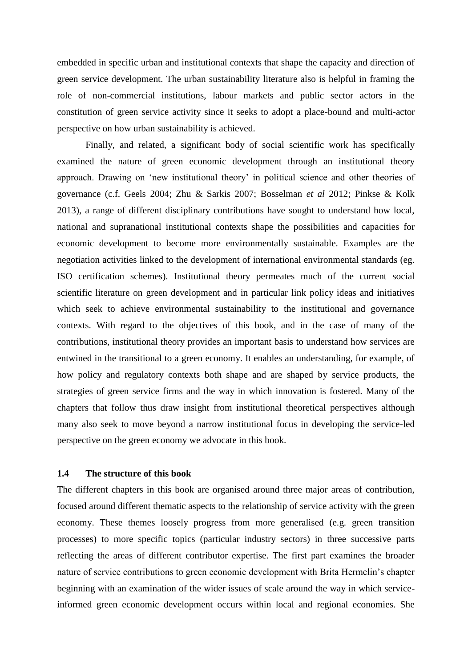embedded in specific urban and institutional contexts that shape the capacity and direction of green service development. The urban sustainability literature also is helpful in framing the role of non-commercial institutions, labour markets and public sector actors in the constitution of green service activity since it seeks to adopt a place-bound and multi-actor perspective on how urban sustainability is achieved.

Finally, and related, a significant body of social scientific work has specifically examined the nature of green economic development through an institutional theory approach. Drawing on 'new institutional theory' in political science and other theories of governance (c.f. Geels 2004; Zhu & Sarkis 2007; Bosselman *et al* 2012; Pinkse & Kolk 2013), a range of different disciplinary contributions have sought to understand how local, national and supranational institutional contexts shape the possibilities and capacities for economic development to become more environmentally sustainable. Examples are the negotiation activities linked to the development of international environmental standards (eg. ISO certification schemes). Institutional theory permeates much of the current social scientific literature on green development and in particular link policy ideas and initiatives which seek to achieve environmental sustainability to the institutional and governance contexts. With regard to the objectives of this book, and in the case of many of the contributions, institutional theory provides an important basis to understand how services are entwined in the transitional to a green economy. It enables an understanding, for example, of how policy and regulatory contexts both shape and are shaped by service products, the strategies of green service firms and the way in which innovation is fostered. Many of the chapters that follow thus draw insight from institutional theoretical perspectives although many also seek to move beyond a narrow institutional focus in developing the service-led perspective on the green economy we advocate in this book.

#### **1.4 The structure of this book**

The different chapters in this book are organised around three major areas of contribution, focused around different thematic aspects to the relationship of service activity with the green economy. These themes loosely progress from more generalised (e.g. green transition processes) to more specific topics (particular industry sectors) in three successive parts reflecting the areas of different contributor expertise. The first part examines the broader nature of service contributions to green economic development with Brita Hermelin's chapter beginning with an examination of the wider issues of scale around the way in which serviceinformed green economic development occurs within local and regional economies. She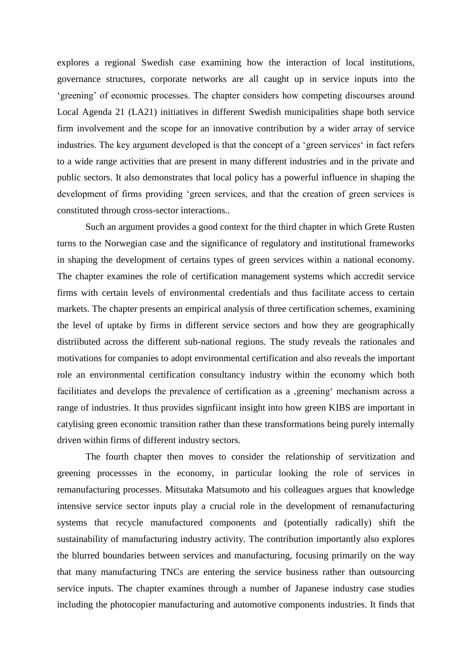explores a regional Swedish case examining how the interaction of local institutions, governance structures, corporate networks are all caught up in service inputs into the 'greening' of economic processes. The chapter considers how competing discourses around Local Agenda 21 (LA21) initiatives in different Swedish municipalities shape both service firm involvement and the scope for an innovative contribution by a wider array of service industries. The key argument developed is that the concept of a 'green services' in fact refers to a wide range activities that are present in many different industries and in the private and public sectors. It also demonstrates that local policy has a powerful influence in shaping the development of firms providing 'green services, and that the creation of green services is constituted through cross-sector interactions..

Such an argument provides a good context for the third chapter in which Grete Rusten turns to the Norwegian case and the significance of regulatory and institutional frameworks in shaping the development of certains types of green services within a national economy. The chapter examines the role of certification management systems which accredit service firms with certain levels of environmental credentials and thus facilitate access to certain markets. The chapter presents an empirical analysis of three certification schemes, examining the level of uptake by firms in different service sectors and how they are geographically distriibuted across the different sub-national regions. The study reveals the rationales and motivations for companies to adopt environmental certification and also reveals the important role an environmental certification consultancy industry within the economy which both facilitiates and develops the prevalence of certification as a greening' mechanism across a range of industries. It thus provides signfiicant insight into how green KIBS are important in catylising green economic transition rather than these transformations being purely internally driven within firms of different industry sectors.

The fourth chapter then moves to consider the relationship of servitization and greening processses in the economy, in particular looking the role of services in remanufacturing processes. Mitsutaka Matsumoto and his colleagues argues that knowledge intensive service sector inputs play a crucial role in the development of remanufacturing systems that recycle manufactured components and (potentially radically) shift the sustainability of manufacturing industry activity. The contribution importantly also explores the blurred boundaries between services and manufacturing, focusing primarily on the way that many manufacturing TNCs are entering the service business rather than outsourcing service inputs. The chapter examines through a number of Japanese industry case studies including the photocopier manufacturing and automotive components industries. It finds that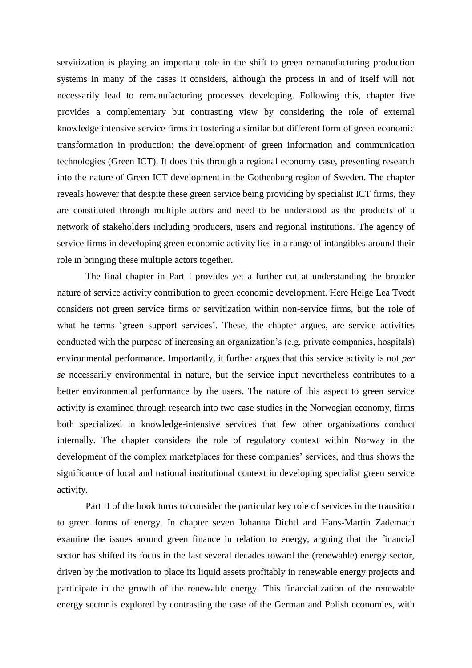servitization is playing an important role in the shift to green remanufacturing production systems in many of the cases it considers, although the process in and of itself will not necessarily lead to remanufacturing processes developing. Following this, chapter five provides a complementary but contrasting view by considering the role of external knowledge intensive service firms in fostering a similar but different form of green economic transformation in production: the development of green information and communication technologies (Green ICT). It does this through a regional economy case, presenting research into the nature of Green ICT development in the Gothenburg region of Sweden. The chapter reveals however that despite these green service being providing by specialist ICT firms, they are constituted through multiple actors and need to be understood as the products of a network of stakeholders including producers, users and regional institutions. The agency of service firms in developing green economic activity lies in a range of intangibles around their role in bringing these multiple actors together.

The final chapter in Part I provides yet a further cut at understanding the broader nature of service activity contribution to green economic development. Here Helge Lea Tvedt considers not green service firms or servitization within non-service firms, but the role of what he terms 'green support services'. These, the chapter argues, are service activities conducted with the purpose of increasing an organization's (e.g. private companies, hospitals) environmental performance. Importantly, it further argues that this service activity is not *per se* necessarily environmental in nature, but the service input nevertheless contributes to a better environmental performance by the users. The nature of this aspect to green service activity is examined through research into two case studies in the Norwegian economy, firms both specialized in knowledge-intensive services that few other organizations conduct internally. The chapter considers the role of regulatory context within Norway in the development of the complex marketplaces for these companies' services, and thus shows the significance of local and national institutional context in developing specialist green service activity.

Part II of the book turns to consider the particular key role of services in the transition to green forms of energy. In chapter seven Johanna Dichtl and Hans-Martin Zademach examine the issues around green finance in relation to energy, arguing that the financial sector has shifted its focus in the last several decades toward the (renewable) energy sector, driven by the motivation to place its liquid assets profitably in renewable energy projects and participate in the growth of the renewable energy. This financialization of the renewable energy sector is explored by contrasting the case of the German and Polish economies, with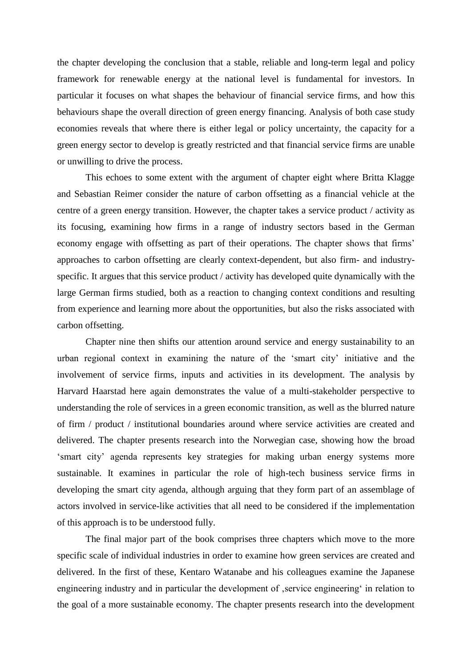the chapter developing the conclusion that a stable, reliable and long-term legal and policy framework for renewable energy at the national level is fundamental for investors. In particular it focuses on what shapes the behaviour of financial service firms, and how this behaviours shape the overall direction of green energy financing. Analysis of both case study economies reveals that where there is either legal or policy uncertainty, the capacity for a green energy sector to develop is greatly restricted and that financial service firms are unable or unwilling to drive the process.

This echoes to some extent with the argument of chapter eight where Britta Klagge and Sebastian Reimer consider the nature of carbon offsetting as a financial vehicle at the centre of a green energy transition. However, the chapter takes a service product / activity as its focusing, examining how firms in a range of industry sectors based in the German economy engage with offsetting as part of their operations. The chapter shows that firms' approaches to carbon offsetting are clearly context-dependent, but also firm- and industryspecific. It argues that this service product / activity has developed quite dynamically with the large German firms studied, both as a reaction to changing context conditions and resulting from experience and learning more about the opportunities, but also the risks associated with carbon offsetting.

Chapter nine then shifts our attention around service and energy sustainability to an urban regional context in examining the nature of the 'smart city' initiative and the involvement of service firms, inputs and activities in its development. The analysis by Harvard Haarstad here again demonstrates the value of a multi-stakeholder perspective to understanding the role of services in a green economic transition, as well as the blurred nature of firm / product / institutional boundaries around where service activities are created and delivered. The chapter presents research into the Norwegian case, showing how the broad 'smart city' agenda represents key strategies for making urban energy systems more sustainable. It examines in particular the role of high-tech business service firms in developing the smart city agenda, although arguing that they form part of an assemblage of actors involved in service-like activities that all need to be considered if the implementation of this approach is to be understood fully.

The final major part of the book comprises three chapters which move to the more specific scale of individual industries in order to examine how green services are created and delivered. In the first of these, Kentaro Watanabe and his colleagues examine the Japanese engineering industry and in particular the development of service engineering' in relation to the goal of a more sustainable economy. The chapter presents research into the development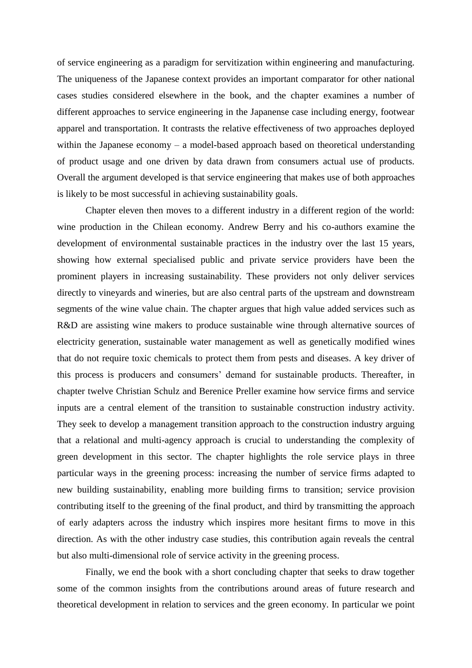of service engineering as a paradigm for servitization within engineering and manufacturing. The uniqueness of the Japanese context provides an important comparator for other national cases studies considered elsewhere in the book, and the chapter examines a number of different approaches to service engineering in the Japanense case including energy, footwear apparel and transportation. It contrasts the relative effectiveness of two approaches deployed within the Japanese economy – a model-based approach based on theoretical understanding of product usage and one driven by data drawn from consumers actual use of products. Overall the argument developed is that service engineering that makes use of both approaches is likely to be most successful in achieving sustainability goals.

Chapter eleven then moves to a different industry in a different region of the world: wine production in the Chilean economy. Andrew Berry and his co-authors examine the development of environmental sustainable practices in the industry over the last 15 years, showing how external specialised public and private service providers have been the prominent players in increasing sustainability. These providers not only deliver services directly to vineyards and wineries, but are also central parts of the upstream and downstream segments of the wine value chain. The chapter argues that high value added services such as R&D are assisting wine makers to produce sustainable wine through alternative sources of electricity generation, sustainable water management as well as genetically modified wines that do not require toxic chemicals to protect them from pests and diseases. A key driver of this process is producers and consumers' demand for sustainable products. Thereafter, in chapter twelve Christian Schulz and Berenice Preller examine how service firms and service inputs are a central element of the transition to sustainable construction industry activity. They seek to develop a management transition approach to the construction industry arguing that a relational and multi-agency approach is crucial to understanding the complexity of green development in this sector. The chapter highlights the role service plays in three particular ways in the greening process: increasing the number of service firms adapted to new building sustainability, enabling more building firms to transition; service provision contributing itself to the greening of the final product*,* and third by transmitting the approach of early adapters across the industry which inspires more hesitant firms to move in this direction. As with the other industry case studies, this contribution again reveals the central but also multi-dimensional role of service activity in the greening process.

Finally, we end the book with a short concluding chapter that seeks to draw together some of the common insights from the contributions around areas of future research and theoretical development in relation to services and the green economy. In particular we point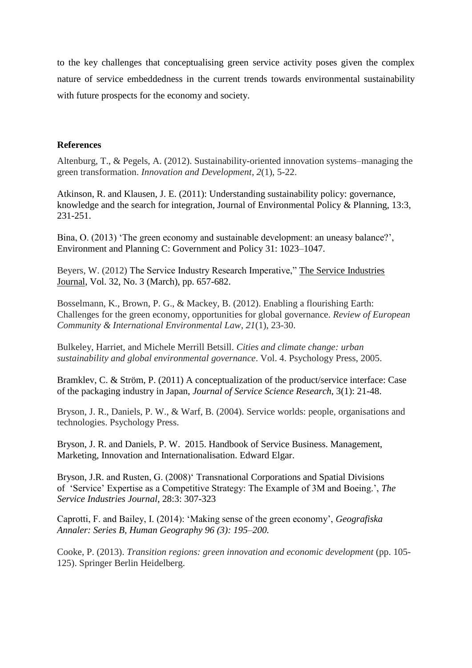to the key challenges that conceptualising green service activity poses given the complex nature of service embeddedness in the current trends towards environmental sustainability with future prospects for the economy and society.

#### **References**

Altenburg, T., & Pegels, A. (2012). Sustainability-oriented innovation systems–managing the green transformation. *Innovation and Development*, *2*(1), 5-22.

Atkinson, R. and Klausen, J. E. (2011): Understanding sustainability policy: governance, knowledge and the search for integration, Journal of Environmental Policy & Planning, 13:3, 231-251.

Bina, O. (2013) 'The green economy and sustainable development: an uneasy balance?', Environment and Planning C: Government and Policy 31: 1023–1047.

Beyers, W. (2012) The Service Industry Research Imperative," The Service Industries Journal, Vol. 32, No. 3 (March), pp. 657-682.

Bosselmann, K., Brown, P. G., & Mackey, B. (2012). Enabling a flourishing Earth: Challenges for the green economy, opportunities for global governance. *Review of European Community & International Environmental Law*, *21*(1), 23-30.

Bulkeley, Harriet, and Michele Merrill Betsill. *Cities and climate change: urban sustainability and global environmental governance*. Vol. 4. Psychology Press, 2005.

Bramklev, C. & Ström, P. (2011) A conceptualization of the product/service interface: Case of the packaging industry in Japan, *Journal of Service Science Research*, 3(1): 21-48.

Bryson, J. R., Daniels, P. W., & Warf, B. (2004). Service worlds: people, organisations and technologies. Psychology Press.

Bryson, J. R. and Daniels, P. W. 2015. Handbook of Service Business. Management, Marketing, Innovation and Internationalisation. Edward Elgar.

Bryson, J.R. and Rusten, G. (2008)' Transnational Corporations and Spatial Divisions of 'Service' Expertise as a Competitive Strategy: The Example of 3M and Boeing.', *The Service Industries Journal*, 28:3: 307-323

Caprotti, F. and Bailey, I. (2014): 'Making sense of the green economy', *Geografiska Annaler: Series B, Human Geography 96 (3): 195–200.*

Cooke, P. (2013). *Transition regions: green innovation and economic development* (pp. 105- 125). Springer Berlin Heidelberg.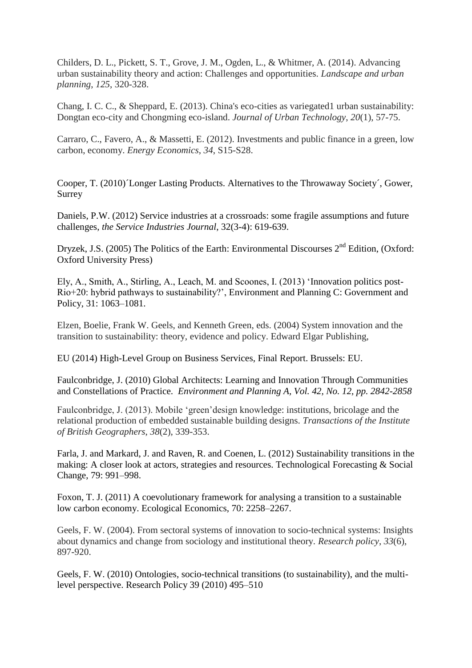Childers, D. L., Pickett, S. T., Grove, J. M., Ogden, L., & Whitmer, A. (2014). Advancing urban sustainability theory and action: Challenges and opportunities. *Landscape and urban planning*, *125*, 320-328.

Chang, I. C. C., & Sheppard, E. (2013). China's eco-cities as variegated1 urban sustainability: Dongtan eco-city and Chongming eco-island. *Journal of Urban Technology*, *20*(1), 57-75.

Carraro, C., Favero, A., & Massetti, E. (2012). Investments and public finance in a green, low carbon, economy. *Energy Economics*, *34*, S15-S28.

Cooper, T. (2010)´Longer Lasting Products. Alternatives to the Throwaway Society´, Gower, Surrey

Daniels, P.W. (2012) Service industries at a crossroads: some fragile assumptions and future challenges, *the Service Industries Journal*, 32(3-4): 619-639.

Dryzek, J.S. (2005) The Politics of the Earth: Environmental Discourses 2<sup>nd</sup> Edition. (Oxford: Oxford University Press)

Ely, A., Smith, A., Stirling, A., Leach, M. and Scoones, I. (2013) 'Innovation politics post-Rio+20: hybrid pathways to sustainability?', Environment and Planning C: Government and Policy, 31: 1063–1081.

Elzen, Boelie, Frank W. Geels, and Kenneth Green, eds. (2004) System innovation and the transition to sustainability: theory, evidence and policy. Edward Elgar Publishing,

EU (2014) High-Level Group on Business Services, Final Report. Brussels: EU.

Faulconbridge, J. (2010) Global Architects: Learning and Innovation Through Communities and Constellations of Practice. *Environment and Planning A, Vol. 42, No. 12, pp. 2842-2858*

Faulconbridge, J. (2013). Mobile 'green'design knowledge: institutions, bricolage and the relational production of embedded sustainable building designs. *Transactions of the Institute of British Geographers*, *38*(2), 339-353.

Farla, J. and Markard, J. and Raven, R. and Coenen, L. (2012) Sustainability transitions in the making: A closer look at actors, strategies and resources. Technological Forecasting & Social Change, 79: 991–998.

Foxon, T. J. (2011) A coevolutionary framework for analysing a transition to a sustainable low carbon economy. Ecological Economics, 70: 2258–2267.

Geels, F. W. (2004). From sectoral systems of innovation to socio-technical systems: Insights about dynamics and change from sociology and institutional theory. *Research policy*, *33*(6), 897-920.

Geels, F. W. (2010) Ontologies, socio-technical transitions (to sustainability), and the multilevel perspective. Research Policy 39 (2010) 495–510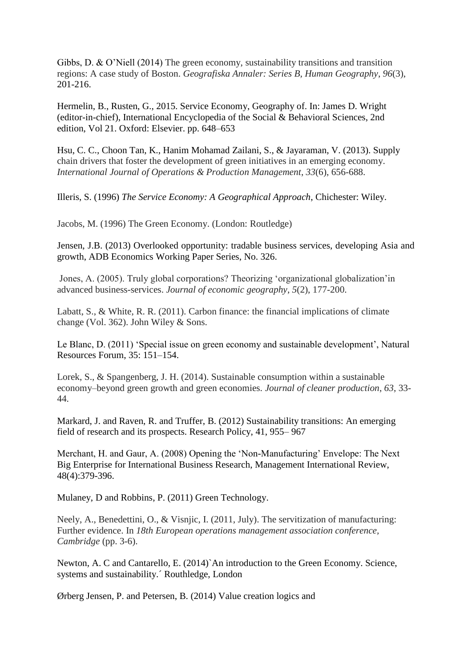Gibbs, D. & O'Niell (2014) The green economy, sustainability transitions and transition regions: A case study of Boston. *Geografiska Annaler: Series B, Human Geography*, *96*(3), 201-216.

Hermelin, B., Rusten, G., 2015. Service Economy, Geography of. In: James D. Wright (editor-in-chief), International Encyclopedia of the Social & Behavioral Sciences, 2nd edition, Vol 21. Oxford: Elsevier. pp. 648–653

Hsu, C. C., Choon Tan, K., Hanim Mohamad Zailani, S., & Jayaraman, V. (2013). Supply chain drivers that foster the development of green initiatives in an emerging economy. *International Journal of Operations & Production Management*, *33*(6), 656-688.

Illeris, S. (1996) *The Service Economy: A Geographical Approach*, Chichester: Wiley.

Jacobs, M. (1996) The Green Economy. (London: Routledge)

Jensen, J.B. (2013) Overlooked opportunity: tradable business services, developing Asia and growth, ADB Economics Working Paper Series, No. 326.

Jones, A. (2005). Truly global corporations? Theorizing 'organizational globalization'in advanced business-services. *Journal of economic geography*, *5*(2), 177-200.

Labatt, S., & White, R. R. (2011). Carbon finance: the financial implications of climate change (Vol. 362). John Wiley & Sons.

Le Blanc, D. (2011) 'Special issue on green economy and sustainable development', Natural Resources Forum, 35: 151–154.

Lorek, S., & Spangenberg, J. H. (2014). Sustainable consumption within a sustainable economy–beyond green growth and green economies. *Journal of cleaner production*, *63*, 33- 44.

Markard, J. and Raven, R. and Truffer, B. (2012) Sustainability transitions: An emerging field of research and its prospects. Research Policy, 41, 955– 967

Merchant, H. and Gaur, A. (2008) Opening the 'Non-Manufacturing' Envelope: The Next Big Enterprise for International Business Research, Management International Review, 48(4):379-396.

Mulaney, D and Robbins, P. (2011) Green Technology.

Neely, A., Benedettini, O., & Visnjic, I. (2011, July). The servitization of manufacturing: Further evidence. In *18th European operations management association conference, Cambridge* (pp. 3-6).

Newton, A. C and Cantarello, E. (2014)`An introduction to the Green Economy. Science, systems and sustainability.´ Routhledge, London

Ørberg Jensen, P. and Petersen, B. (2014) Value creation logics and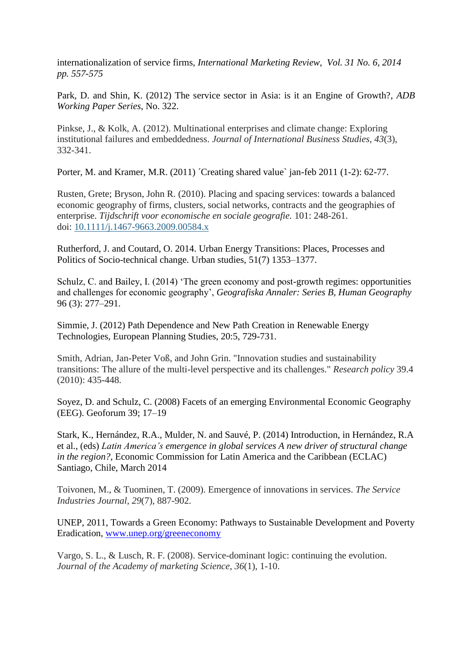internationalization of service firms, *International Marketing Review, Vol. 31 No. 6, 2014 pp. 557-575* 

Park, D. and Shin, K. (2012) The service sector in Asia: is it an Engine of Growth?, *ADB Working Paper Series*, No. 322.

Pinkse, J., & Kolk, A. (2012). Multinational enterprises and climate change: Exploring institutional failures and embeddedness. *Journal of International Business Studies*, *43*(3), 332-341.

Porter, M. and Kramer, M.R. (2011) *Creating shared value jan-feb 2011* (1-2): 62-77.

Rusten, Grete; Bryson, John R. (2010). Placing and spacing services: towards a balanced economic geography of firms, clusters, social networks, contracts and the geographies of enterprise. *Tijdschrift voor economische en sociale geografie.* 101: 248-261. doi: [10.1111/j.1467-9663.2009.00584.x](http://dx.doi.org/10.1111/j.1467-9663.2009.00584.x)

Rutherford, J. and Coutard, O. 2014. Urban Energy Transitions: Places, Processes and Politics of Socio-technical change. Urban studies, 51(7) 1353–1377.

Schulz, C. and Bailey, I. (2014) 'The green economy and post-growth regimes: opportunities and challenges for economic geography', *Geografiska Annaler: Series B, Human Geography*  96 (3): 277–291.

Simmie, J. (2012) Path Dependence and New Path Creation in Renewable Energy Technologies, European Planning Studies, 20:5, 729-731.

Smith, Adrian, Jan-Peter Voß, and John Grin. "Innovation studies and sustainability transitions: The allure of the multi-level perspective and its challenges." *Research policy* 39.4 (2010): 435-448.

Soyez, D. and Schulz, C. (2008) Facets of an emerging Environmental Economic Geography (EEG). Geoforum 39; 17–19

Stark, K., Hernández, R.A., Mulder, N. and Sauvé, P. (2014) Introduction, in Hernández, R.A et al., (eds) *Latin America's emergence in global services A new driver of structural change in the region?*, Economic Commission for Latin America and the Caribbean (ECLAC) Santiago, Chile, March 2014

Toivonen, M., & Tuominen, T. (2009). Emergence of innovations in services. *The Service Industries Journal*, *29*(7), 887-902.

UNEP, 2011, Towards a Green Economy: Pathways to Sustainable Development and Poverty Eradication, [www.unep.org/greeneconomy](http://www.unep.org/greeneconomy)

Vargo, S. L., & Lusch, R. F. (2008). Service-dominant logic: continuing the evolution. *Journal of the Academy of marketing Science*, *36*(1), 1-10.